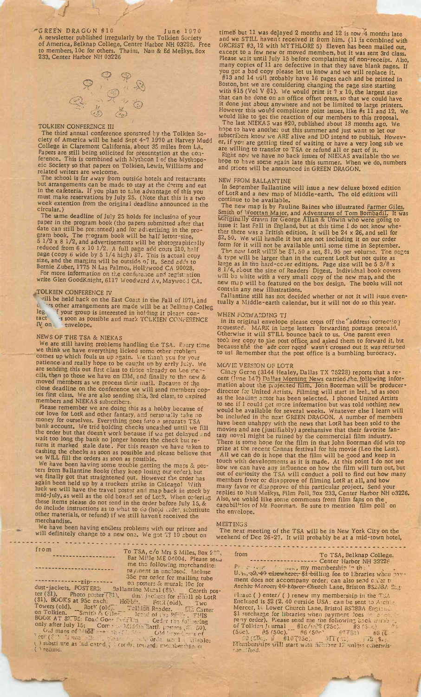"GREEN DRAGON #10 June 1970 A newsletter published irregularly by the Tolkien Society of America, Belknap College, Center Harbor NH 03226. Free to members, 10c for others. Thains, Nan & Ed Meskys, Box 233, Center Harbor NH 03226



#### TOLKIEN CONFERENCE III

The third annual conference sponsored by the Tolkien Society of America will be held Sept 4-7 1970 at Harvey Mudd College in Claremont California, about 35 miles from LA. Papers are still being solicited for presentation at the conference. This is combined with Mythcon I of the Mythopoeic Society so that papers on Tolkien, Lewis, Williams and related writers are welcome,

The school is far away from outside hotels and restaurants but arrangements can be made to stay at the dorms and eat in the cafeteria. If you plan to take advantage of this you must make reservations by July 25. (Note that this is a two week extention from the original deadline announced in the circular.)

The same deadline of July 25 holds for inclusion of your paper in the program book (tho papers submitted after that date can still be presented) and for advertising in the program book. The program book will be half letter-size,  $5 \frac{1}{2} \times 8 \frac{1}{2}$ , and advertisements will be photographically reduced from 6 x 10 1/2. <sup>A</sup> full page add costs \$10, half page (copy 6 wide by 5 1/4 high) \$7. This is actual copy size, and the margins will be outside of it. Send adds to Bernie Zuber, 1775 N Las Palmos, Hollywood CA 90028. For more information on the conference and registration

write Glen GoodKnight, 6117 Woodward Av, Maywood CA.

## TOLKIEN CONFERENCE IV

vill be held back on the East Coast in the Fall of 1971, and t <sup>the s</sup> other arrangements are made will be at Belknap Colleg leg. If your group is interested in holding it please contact s soon as possible and mark TOLKIEN CONFERENCE tact soon as possible.

## NEWS OF THE TSA & NIEKAS

We are still having problems handling the TSA. Every time we think we have everything licked some other problem comes up which fouls us up again. We thank you for your patience and really hope to be caught up by early July. We are sending this out first class to those already on Lee stencils, then to those we have on I3M, and finally to the new & moved members as we process their mail. Because of the close deadline on the conference we will send members'copies first class. We are also sending this, 3rd class, to expired members and NIEKAS subscribers.

Please remember we are doing this as a hobby because of our love for LotR and other fantasy, and personally take no money for ourselves. Everything goes into a separate TSA bank account. We trid holding checks uncashed until we fill the order but that doesn't work because if we get delayed and wait too long the bank no longer honors the check but returns it marked stale date. For this reason we have taken to cashing the checks as soon as possible and please believe that we WILL fill the orders as soon as possible.

We have been having some trouble getting the maps & posters from Ballantine Books (they keep losing our order), but we finally got that straightened out. However the order has again been held up by a truckers' strike in Chicago! With luck we will have the travel poster and map back in stock by mid-July, as well as the old boxed set of LotR. When ordering these items please do not send in the order before July 15, & do include instructions as to what to do (hold uzdeg substitute other materials, or refund) if we still haven't received the merchandise.

We have been having endless problems with our printer and will definitely change to a new one. We got TJ 10 about on

timeb but 11 was delayed 2 months and 12 is now 4 months late and we STILL havent received it from him. (11 is combined with ORCRIST #3,12 with MYTHLORE 5) Eleven has been mailed out, except to a few new or moved members, but it was sent 3rd class. Please wait until July 15 before complaining of non-receipt. Also, many copies of 11 are defective in that they have blank pages. If you got a bad copy please let us know and we will replace it. #13 and 14 will probably have 16 pages each and be printed in Boston, but we are considering changing the page size starting with #15 (Vol V  $\frac{1}{11}$ ), We would print it 7 x 10, the largest size that can be done on an office offset press, so that we could have it done just about anywhere and not be limited to large printers. However this would complicate joint issues, like #s 11 and 12. We would like to get the reaction of our members to this proposal. \_ The last NIEKAS was #20, published about 18 months ago. We hope to have another out this summer and just want to let our

subscribers know we ARE alive and DO intend to publish. However, if you are getting tired of waiting or have a very long sub we are willing to transfer to TSA or refund all or part of it. Right now we have no back issues of NIEKAS available tho we nope to have some again late this summer. When we do, numbers and prices will be announced in GREEN DRAGON.

# NEW FROM BALLANTINE

In September Ballantine will issue a new deluxe boxed edition of LotR and a new map of Middle-earth. The old editions will continue to be available.

The new map is by Pauline Baines who islustrated Farmer Giles, Smith of Woottan Major, and Adventures of Tom Bombadil. It was woriginally drawn for George Allan & Unwin who were going to issue it last Fall in England, but at this time I do not know whether there was a British edition. It will be 24 x 26, and sell for \$2.50. We will handle it but are not including it on our order form for it will not be available until some time in September. The new LotR will's be \$7.50 a set, \$1, 95 per volume. The pages & type will be larger than in the current LotR but not quite as

large as in the hard-cover editions. Page size will be 5 3/8 x  $8\frac{1}{4}$ , about the size of Readers' Digest. Individual book covers will be white with a very small copy of the new map, and the new map will be featured on the box design. The books will not contain any new illustrations.

Ballantine still has not decided whether or not it will issue eventually a Middle-earth calendar, but it will not do so this year,

## WHEN FORWARDING TJ

in its original envelope please cross off the'address correction requested. MARK in large letters 'forwarding postage prepaid. Otherwise it will STILL bounce back to us. One parent even took her copy to the post office, and asked them to forward it, but because ene the adr corr rqqtd' wasn't crossed out it was returned to us! Remember that the post office is a bumbling burocracy.

#### MOVIE VERSION OF LOTR

Cinoy Geron (3144 Healey, Dallas TX 75228) reports that a recent (June 14?) Dallas Morning News carried the following information about the projected film. John Boorman will be producerdirector for United Artists. Filming will start in Irel. ad as soon as the leading actor has been selected. I phoned United Artists to see if I could get more information but was told nothing new would be available for several weeks. Whatever else I learn will be included in the next GREEN DRAGON. A number of members have been unahppy with the news that LotR has been sold to the movies and are (justifiably) aprehansive that their favorite fantasy novel might be ruined by the commercial film industry. There is some hope for the film in that John Boorman did win top prize at the recent Cannas festival for his movie (Leo the Last). All we can do is hope that the film will be good and keep in touch with developments as it is made. At this point I do not see how we can have any influence on how the film will turn out, but out of curiosity the TSA will conduct a poll to find out how many members favor or disapprove of filming LotR at all, and how many favor or disapprove of this particular project. Send your replies to Nan Meskys, Film Poll, Box 233, Center Harbor NH o3226. Also, we would like some comments from film fans on the, capabilities of Mr. Boorman. Be sure to mention 'film poll' on the envelope.

### **MEETINGS**

The next meeting of the TSA will be in New York City on the weekend of Dec 26-27. It will probably be at a mid-town hotel,

| from<br><u>te a travella</u> t<br>--------------zip-------<br>() substitute as indicated (cored), towards morabetable on<br>$($ refund. | To TSA, c/o Mrs S Miles, Box 200,<br>Bar Mille ME 04004. Please send<br>me the following merchandise:<br>pay.nent in enclosed. Incluse<br>35c per order for mailing tube<br>on posters & mural; loc for<br>dust-jackets POSTER3: Ballantine Mural (\$5). Cereth pos-<br>ter (\$1). Photo poster (\$1), dus jackets for singll pb LotR<br>(\$1). BOOKS at 95c each: Hobbit. Foul(oid). Two<br>Towers (old). RotK (old). Tell ion Reader. I. Carter<br>on Tolkien. Smith & Gile 3cond of the Pince THIS<br>BOOK AT \$2.95; Road Goes From Cn Crder the following<br>only after July 15; Comprise Middle Barth posters (SL 50).<br>Old mans of Middle- part that Old week and of<br>lett $(\xi^*)$ linna in the second problem order until a proplet | from To TSA, Belknap College.<br>------------------- Center Harbor NH 32226<br>Planet of the same my membership in the same<br>U. 21, 32.49 elsewhere; \$1-billing fee to libraries when pay-<br>ment does not accompany order; can also send one'er to<br>Archie Mereer, 10 Eqwer Church Lane, Briston BS23BA Eng-<br>$\Box$ ase () enter/() renew my membership in the TSA<br>Enclosed is \$2 (2.40 ourside USA; can be sent to Archie<br>Mercer, 10 Lower Church Lane, Bristol BS28BA Engines.<br>\$1 surcharge for libraries when payment does to a money<br>pany order). Please send me the following back munistr.<br>of Tolkien Junnal #1c/w.2 (25c). #3 (5(c).<br>(50c), $\#5(50c)$ , $\#6(50c)$ $\#7(51)$ $\#8(6c)$<br>19 (50c). # #10 (75c). $\mathbb{E}[\mathbf{1}(\cdot,1)] = \mathbb{E}[2 \cdot 3\cdot 1]$ .<br>Memberships will start with nember 12 unless cherwis-<br>openfied. |
|-----------------------------------------------------------------------------------------------------------------------------------------|---------------------------------------------------------------------------------------------------------------------------------------------------------------------------------------------------------------------------------------------------------------------------------------------------------------------------------------------------------------------------------------------------------------------------------------------------------------------------------------------------------------------------------------------------------------------------------------------------------------------------------------------------------------------------------------------------------------------------------------------------|-------------------------------------------------------------------------------------------------------------------------------------------------------------------------------------------------------------------------------------------------------------------------------------------------------------------------------------------------------------------------------------------------------------------------------------------------------------------------------------------------------------------------------------------------------------------------------------------------------------------------------------------------------------------------------------------------------------------------------------------------------------------------------------------------------------------------------------------------------------------------------------------------|
|                                                                                                                                         |                                                                                                                                                                                                                                                                                                                                                                                                                                                                                                                                                                                                                                                                                                                                                   |                                                                                                                                                                                                                                                                                                                                                                                                                                                                                                                                                                                                                                                                                                                                                                                                                                                                                                 |